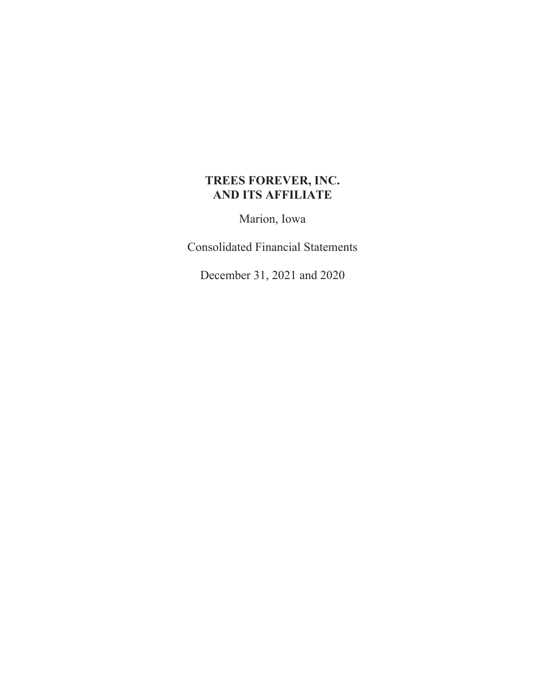### **TREES FOREVER, INC. AND ITS AFFILIATE**

Marion, Iowa

Consolidated Financial Statements

December 31, 2021 and 2020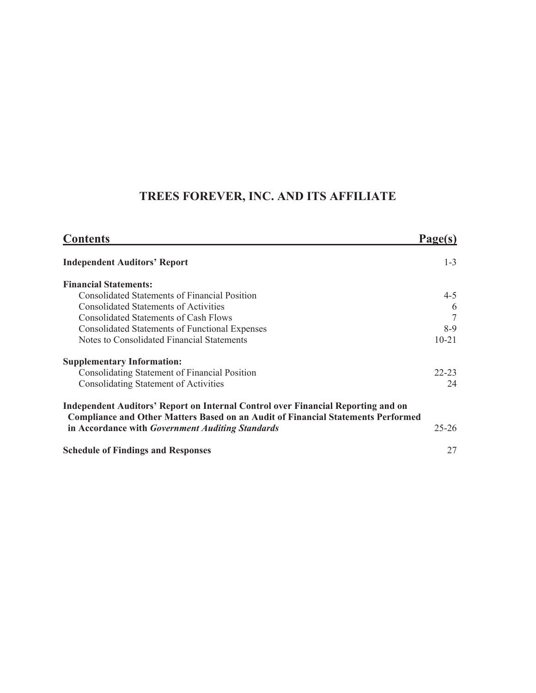# **TREES FOREVER, INC. AND ITS AFFILIATE**

| <b>Contents</b>                                                                                                                                                             | Page(s)   |
|-----------------------------------------------------------------------------------------------------------------------------------------------------------------------------|-----------|
| <b>Independent Auditors' Report</b>                                                                                                                                         | $1 - 3$   |
| <b>Financial Statements:</b>                                                                                                                                                |           |
| <b>Consolidated Statements of Financial Position</b>                                                                                                                        | $4 - 5$   |
| <b>Consolidated Statements of Activities</b>                                                                                                                                | 6         |
| Consolidated Statements of Cash Flows                                                                                                                                       | 7         |
| <b>Consolidated Statements of Functional Expenses</b>                                                                                                                       | $8-9$     |
| Notes to Consolidated Financial Statements                                                                                                                                  | $10 - 21$ |
| <b>Supplementary Information:</b>                                                                                                                                           |           |
| <b>Consolidating Statement of Financial Position</b>                                                                                                                        | $22 - 23$ |
| <b>Consolidating Statement of Activities</b>                                                                                                                                | 24        |
| Independent Auditors' Report on Internal Control over Financial Reporting and on<br><b>Compliance and Other Matters Based on an Audit of Financial Statements Performed</b> |           |
| in Accordance with Government Auditing Standards                                                                                                                            | $25 - 26$ |
| <b>Schedule of Findings and Responses</b>                                                                                                                                   | 27        |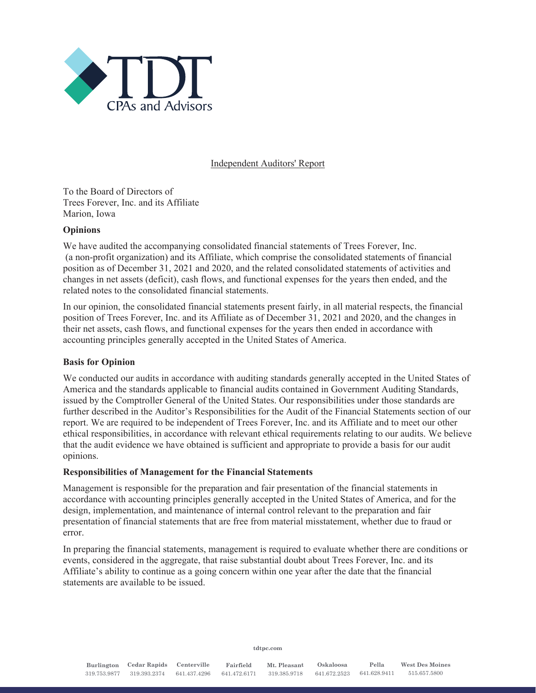

#### Independent Auditors' Report

To the Board of Directors of Trees Forever, Inc. and its Affiliate Marion, Iowa

#### **Opinions**

We have audited the accompanying consolidated financial statements of Trees Forever, Inc. (a non-profit organization) and its Affiliate, which comprise the consolidated statements of financial position as of December 31, 2021 and 2020, and the related consolidated statements of activities and changes in net assets (deficit), cash flows, and functional expenses for the years then ended, and the related notes to the consolidated financial statements.

In our opinion, the consolidated financial statements present fairly, in all material respects, the financial position of Trees Forever, Inc. and its Affiliate as of December 31, 2021 and 2020, and the changes in their net assets, cash flows, and functional expenses for the years then ended in accordance with accounting principles generally accepted in the United States of America.

#### **Basis for Opinion**

We conducted our audits in accordance with auditing standards generally accepted in the United States of America and the standards applicable to financial audits contained in Government Auditing Standards, issued by the Comptroller General of the United States. Our responsibilities under those standards are further described in the Auditor's Responsibilities for the Audit of the Financial Statements section of our report. We are required to be independent of Trees Forever, Inc. and its Affiliate and to meet our other ethical responsibilities, in accordance with relevant ethical requirements relating to our audits. We believe that the audit evidence we have obtained is sufficient and appropriate to provide a basis for our audit opinions.

#### **Responsibilities of Management for the Financial Statements**

Management is responsible for the preparation and fair presentation of the financial statements in accordance with accounting principles generally accepted in the United States of America, and for the design, implementation, and maintenance of internal control relevant to the preparation and fair presentation of financial statements that are free from material misstatement, whether due to fraud or error.

In preparing the financial statements, management is required to evaluate whether there are conditions or events, considered in the aggregate, that raise substantial doubt about Trees Forever, Inc. and its Affiliate's ability to continue as a going concern within one year after the date that the financial statements are available to be issued.

**tdtpc.com**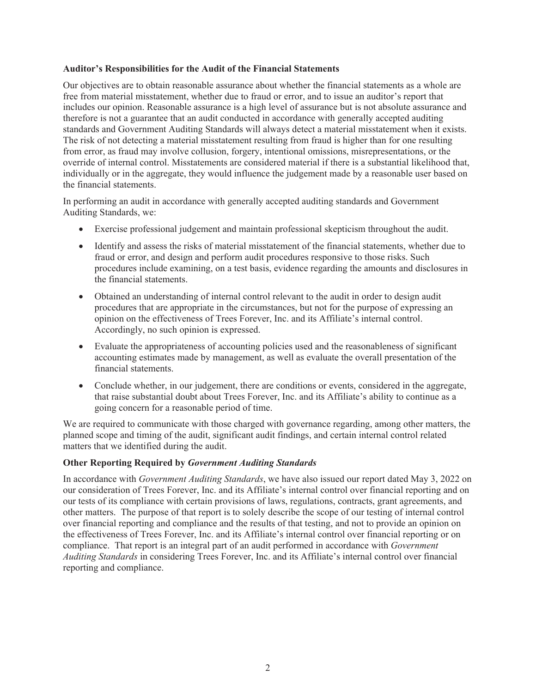#### **Auditor's Responsibilities for the Audit of the Financial Statements**

Our objectives are to obtain reasonable assurance about whether the financial statements as a whole are free from material misstatement, whether due to fraud or error, and to issue an auditor's report that includes our opinion. Reasonable assurance is a high level of assurance but is not absolute assurance and therefore is not a guarantee that an audit conducted in accordance with generally accepted auditing standards and Government Auditing Standards will always detect a material misstatement when it exists. The risk of not detecting a material misstatement resulting from fraud is higher than for one resulting from error, as fraud may involve collusion, forgery, intentional omissions, misrepresentations, or the override of internal control. Misstatements are considered material if there is a substantial likelihood that, individually or in the aggregate, they would influence the judgement made by a reasonable user based on the financial statements.

In performing an audit in accordance with generally accepted auditing standards and Government Auditing Standards, we:

- Exercise professional judgement and maintain professional skepticism throughout the audit.
- Identify and assess the risks of material misstatement of the financial statements, whether due to fraud or error, and design and perform audit procedures responsive to those risks. Such procedures include examining, on a test basis, evidence regarding the amounts and disclosures in the financial statements.
- Obtained an understanding of internal control relevant to the audit in order to design audit procedures that are appropriate in the circumstances, but not for the purpose of expressing an opinion on the effectiveness of Trees Forever, Inc. and its Affiliate's internal control. Accordingly, no such opinion is expressed.
- Evaluate the appropriateness of accounting policies used and the reasonableness of significant accounting estimates made by management, as well as evaluate the overall presentation of the financial statements.
- Conclude whether, in our judgement, there are conditions or events, considered in the aggregate, that raise substantial doubt about Trees Forever, Inc. and its Affiliate's ability to continue as a going concern for a reasonable period of time.

We are required to communicate with those charged with governance regarding, among other matters, the planned scope and timing of the audit, significant audit findings, and certain internal control related matters that we identified during the audit.

#### **Other Reporting Required by** *Government Auditing Standards*

In accordance with *Government Auditing Standards*, we have also issued our report dated May 3, 2022 on our consideration of Trees Forever, Inc. and its Affiliate's internal control over financial reporting and on our tests of its compliance with certain provisions of laws, regulations, contracts, grant agreements, and other matters. The purpose of that report is to solely describe the scope of our testing of internal control over financial reporting and compliance and the results of that testing, and not to provide an opinion on the effectiveness of Trees Forever, Inc. and its Affiliate's internal control over financial reporting or on compliance. That report is an integral part of an audit performed in accordance with *Government Auditing Standards* in considering Trees Forever, Inc. and its Affiliate's internal control over financial reporting and compliance.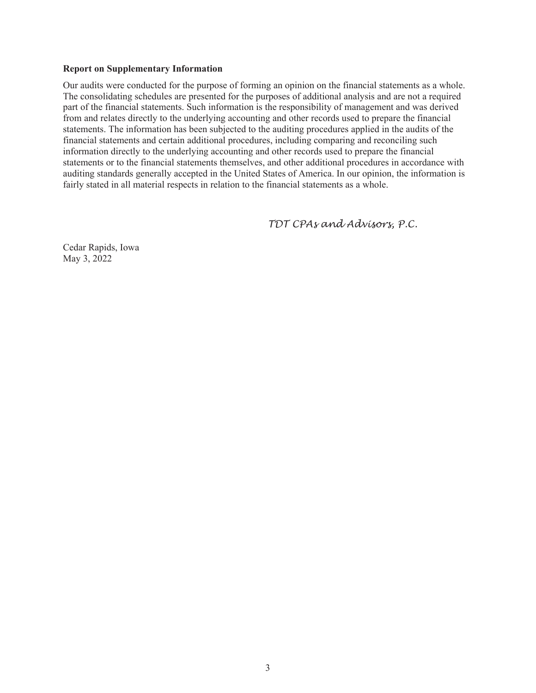#### **Report on Supplementary Information**

Our audits were conducted for the purpose of forming an opinion on the financial statements as a whole. The consolidating schedules are presented for the purposes of additional analysis and are not a required part of the financial statements. Such information is the responsibility of management and was derived from and relates directly to the underlying accounting and other records used to prepare the financial statements. The information has been subjected to the auditing procedures applied in the audits of the financial statements and certain additional procedures, including comparing and reconciling such information directly to the underlying accounting and other records used to prepare the financial statements or to the financial statements themselves, and other additional procedures in accordance with auditing standards generally accepted in the United States of America. In our opinion, the information is fairly stated in all material respects in relation to the financial statements as a whole.

 *TDT CPAs and Advisors, P.C.* 

Cedar Rapids, Iowa May 3, 2022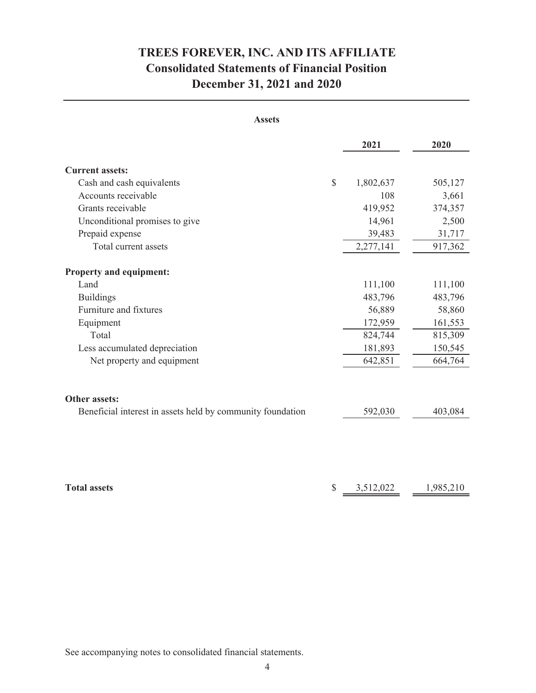# **December 31, 2021 and 2020 Consolidated Statements of Financial Position TREES FOREVER, INC. AND ITS AFFILIATE**

| <b>Assets</b>                                              |                 |           |
|------------------------------------------------------------|-----------------|-----------|
|                                                            | 2021            | 2020      |
| <b>Current assets:</b>                                     |                 |           |
| Cash and cash equivalents                                  | \$<br>1,802,637 | 505,127   |
| Accounts receivable                                        | 108             | 3,661     |
| Grants receivable                                          | 419,952         | 374,357   |
| Unconditional promises to give                             | 14,961          | 2,500     |
| Prepaid expense                                            | 39,483          | 31,717    |
| Total current assets                                       | 2,277,141       | 917,362   |
| <b>Property and equipment:</b>                             |                 |           |
| Land                                                       | 111,100         | 111,100   |
| <b>Buildings</b>                                           | 483,796         | 483,796   |
| Furniture and fixtures                                     | 56,889          | 58,860    |
| Equipment                                                  | 172,959         | 161,553   |
| Total                                                      | 824,744         | 815,309   |
| Less accumulated depreciation                              | 181,893         | 150,545   |
| Net property and equipment                                 | 642,851         | 664,764   |
| <b>Other assets:</b>                                       |                 |           |
| Beneficial interest in assets held by community foundation | 592,030         | 403,084   |
|                                                            |                 |           |
| <b>Total assets</b>                                        | \$<br>3,512,022 | 1,985,210 |

See accompanying notes to consolidated financial statements.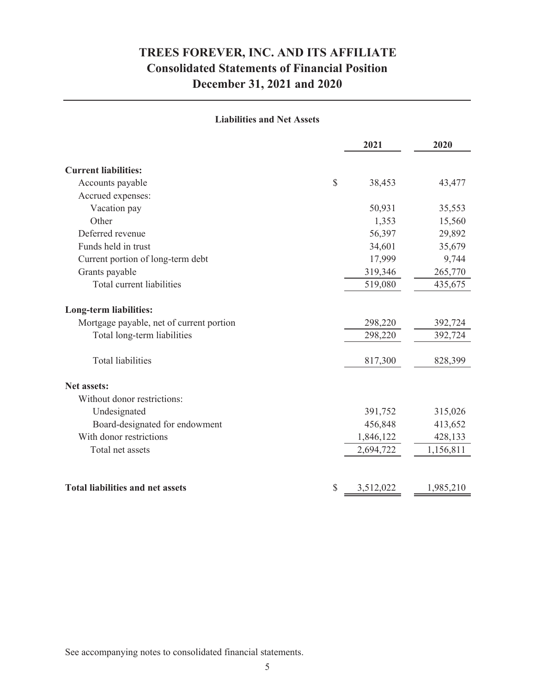### **December 31, 2021 and 2020 Consolidated Statements of Financial Position TREES FOREVER, INC. AND ITS AFFILIATE**

#### **Liabilities and Net Assets**

|                                                                           | 2021      | 2020      |
|---------------------------------------------------------------------------|-----------|-----------|
| <b>Current liabilities:</b>                                               |           |           |
| $\mathcal{S}$<br>Accounts payable                                         | 38,453    | 43,477    |
| Accrued expenses:                                                         |           |           |
| Vacation pay                                                              | 50,931    | 35,553    |
| Other                                                                     | 1,353     | 15,560    |
| Deferred revenue                                                          | 56,397    | 29,892    |
| Funds held in trust                                                       | 34,601    | 35,679    |
| Current portion of long-term debt                                         | 17,999    | 9,744     |
| Grants payable                                                            | 319,346   | 265,770   |
| Total current liabilities                                                 | 519,080   | 435,675   |
| <b>Long-term liabilities:</b><br>Mortgage payable, net of current portion | 298,220   | 392,724   |
| Total long-term liabilities                                               | 298,220   |           |
|                                                                           |           | 392,724   |
| <b>Total liabilities</b>                                                  | 817,300   | 828,399   |
| <b>Net assets:</b>                                                        |           |           |
| Without donor restrictions:                                               |           |           |
| Undesignated                                                              | 391,752   | 315,026   |
| Board-designated for endowment                                            | 456,848   | 413,652   |
| With donor restrictions                                                   | 1,846,122 | 428,133   |
| Total net assets                                                          | 2,694,722 | 1,156,811 |
|                                                                           |           |           |
| <b>Total liabilities and net assets</b><br>\$                             | 3,512,022 | 1,985,210 |

See accompanying notes to consolidated financial statements.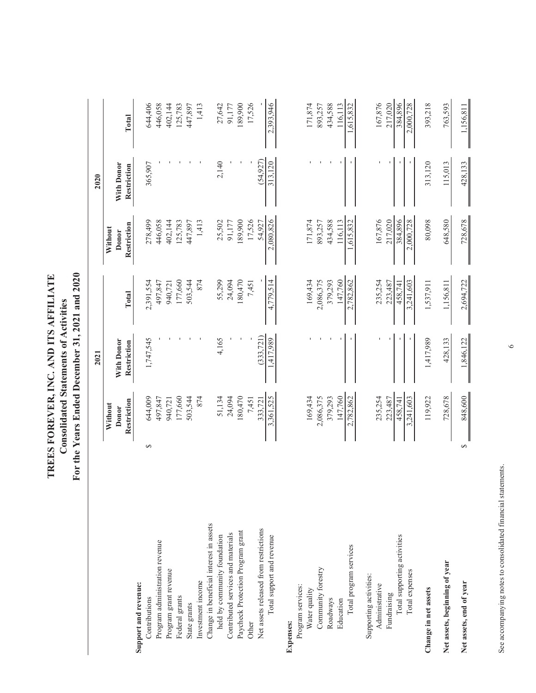| TREES FOREVER, INC. AND ITS AFFILIATE | <b>Consolidated Statements of Activities</b> | For the Years Ended December 31, 2021 and 2020 |
|---------------------------------------|----------------------------------------------|------------------------------------------------|
|---------------------------------------|----------------------------------------------|------------------------------------------------|

|                                         |          |                  | 2021                                  |           |                  | 2020                |           |
|-----------------------------------------|----------|------------------|---------------------------------------|-----------|------------------|---------------------|-----------|
|                                         |          | Without<br>Donor | With Donor                            |           | Without<br>Donor | With Donor          |           |
|                                         |          | Restriction      | Restriction                           | Total     | Restriction      | Restriction         | Total     |
| Support and revenue:                    |          |                  |                                       |           |                  |                     |           |
| Contributions                           | $\Theta$ | 644,009          | 1,747,545                             | 2,391,554 | 278,499          | 365,907             | 644,406   |
| Program administration revenue          |          | 497,847          |                                       | 497,847   | 446,058          |                     | 446,058   |
| Program grant revenue                   |          | 940,721          |                                       | 940,721   | 402,144          |                     | 402,144   |
| Federal grants                          |          | 177,660          |                                       | 177,660   | 125,783          |                     | 125,783   |
| State grants                            |          | 503,544          |                                       | 503,544   | 447,897          |                     | 447,897   |
| Investment income                       |          | 874              |                                       | 874       | 1,413            |                     | 1,413     |
| Change in beneficial interest in assets |          |                  |                                       |           |                  |                     |           |
| held by community foundation            |          | 51,134           | 4,165                                 | 55,299    | 25,502           | 2,140               | 27,642    |
| Contributed services and materials      |          | 24,094           |                                       | 24,094    | 91,177           |                     | 91,177    |
| Paycheck Protection Program grant       |          | 180,470          |                                       | 180,470   | 189,900          |                     | 189,900   |
| Other                                   |          | 7,451            |                                       | 7,451     | 17,526           |                     | 17,526    |
| Net assets released from restrictions   |          | 333,721          | (333, 721)                            |           | 54,927           | (54, 927)           |           |
| Total support and revenue               |          | 3,361,525        | 1,417,989                             | 4,779,514 | 2,080,826        | 313,120             | 2,393,946 |
| Expenses:                               |          |                  |                                       |           |                  |                     |           |
| Program services:                       |          |                  |                                       |           |                  |                     |           |
| Water quality                           |          | 169,434          |                                       | 169,434   | 171,874          |                     | 171,874   |
| Community forestry                      |          | 2,086,375        |                                       | 2,086,375 | 893,257          |                     | 893,257   |
| Roadways                                |          | 379,293          |                                       | 379,293   | 434,588          |                     | 434,588   |
| Education                               |          | 147,760          |                                       | 147,760   | 116,113          |                     | 116,113   |
| Total program services                  |          | 2,782,862        | $\mathbf{I}$                          | 2,782,862 | 1,615,832        | I                   | 1,615,832 |
| Supporting activities:                  |          |                  |                                       |           |                  |                     |           |
| Administrative                          |          | 235,254          |                                       | 235,254   | 167,876          |                     | 167,876   |
| Fundraising                             |          | 223,487          |                                       | 223,487   | 217,020          |                     | 217,020   |
| Total supporting activities             |          | 458,741          |                                       | 458,741   | 384,896          |                     | 384,896   |
| Total expenses                          |          | 3,241,603        |                                       | 3,241,603 | 2,000,728        |                     | 2,000,728 |
| Change in net assets                    |          | 119,922          | 1,417,989                             | 1,537,911 | 80,098           | 313,120             | 393,218   |
| Net assets, beginning of year           |          | 728,678          | 428,133                               | 1,156,811 | 648,580          | 115,013             | 763,593   |
| Net assets, end of year                 | ∥<br>↔   | 848,600          | 1,846,122<br>$\overline{\phantom{a}}$ | 2,694,722 | 728,678          | $\frac{428,133}{ }$ | 1,156,811 |

See accompanying notes to consolidated financial statements. See accompanying notes to consolidated financial statements.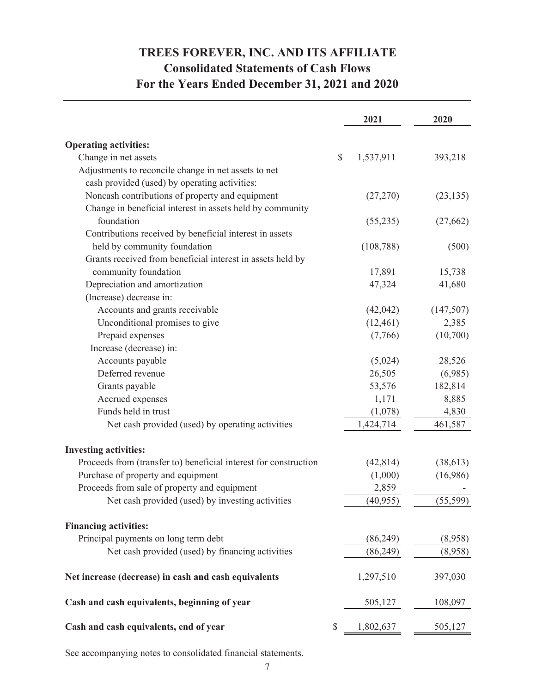## **TREES FOREVER, INC. AND ITS AFFILIATE Consolidated Statements of Cash Flows For the Years Ended December 31, 2021 and 2020**

|                                                                  |              | 2021       | 2020      |
|------------------------------------------------------------------|--------------|------------|-----------|
| <b>Operating activities:</b>                                     |              |            |           |
| Change in net assets                                             | \$           | 1,537,911  | 393,218   |
| Adjustments to reconcile change in net assets to net             |              |            |           |
| cash provided (used) by operating activities:                    |              |            |           |
| Noncash contributions of property and equipment                  |              | (27,270)   | (23, 135) |
| Change in beneficial interest in assets held by community        |              |            |           |
| foundation                                                       |              | (55,235)   | (27,662)  |
| Contributions received by beneficial interest in assets          |              |            |           |
| held by community foundation                                     |              | (108, 788) | (500)     |
| Grants received from beneficial interest in assets held by       |              |            |           |
| community foundation                                             |              | 17,891     | 15,738    |
| Depreciation and amortization                                    |              | 47,324     | 41,680    |
| (Increase) decrease in:                                          |              |            |           |
| Accounts and grants receivable                                   |              | (42, 042)  | (147,507) |
| Unconditional promises to give                                   |              | (12, 461)  | 2,385     |
| Prepaid expenses                                                 |              | (7,766)    | (10,700)  |
| Increase (decrease) in:                                          |              |            |           |
| Accounts payable                                                 |              | (5,024)    | 28,526    |
| Deferred revenue                                                 |              | 26,505     | (6,985)   |
| Grants payable                                                   |              | 53,576     | 182,814   |
| Accrued expenses                                                 |              | 1,171      | 8,885     |
| Funds held in trust                                              |              | (1,078)    | 4,830     |
| Net cash provided (used) by operating activities                 |              | 1,424,714  | 461,587   |
| <b>Investing activities:</b>                                     |              |            |           |
| Proceeds from (transfer to) beneficial interest for construction |              | (42, 814)  | (38, 613) |
| Purchase of property and equipment                               |              | (1,000)    | (16,986)  |
| Proceeds from sale of property and equipment                     |              | 2,859      |           |
| Net cash provided (used) by investing activities                 |              | (40, 955)  | (55, 599) |
| <b>Financing activities:</b>                                     |              |            |           |
| Principal payments on long term debt                             |              | (86,249)   | (8,958)   |
| Net cash provided (used) by financing activities                 |              | (86,249)   | (8,958)   |
| Net increase (decrease) in cash and cash equivalents             |              | 1,297,510  | 397,030   |
| Cash and cash equivalents, beginning of year                     |              | 505,127    | 108,097   |
| Cash and cash equivalents, end of year                           | $\mathbb{S}$ | 1,802,637  | 505,127   |

See accompanying notes to consolidated financial statements.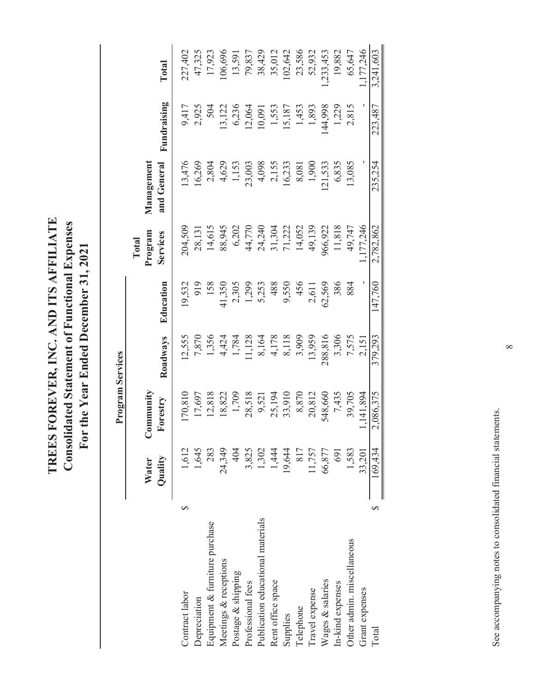TREES FOREVER, INC. AND ITS AFFILIATE **TREES FOREVER, INC. AND ITS AFFILIATE Consolidated Statement of Functional Expenses Consolidated Statement of Functional Expenses** For the Year Ended December 31, 2021 **For the Year Ended December 31, 2021**

|                                   |   |                  | Program Services             |          |           |                              |                           |             |           |
|-----------------------------------|---|------------------|------------------------------|----------|-----------|------------------------------|---------------------------|-------------|-----------|
|                                   |   | Quality<br>Water | <b>Community</b><br>Forestry | Roadways | Education | Program<br>Services<br>Total | Management<br>and General | Fundraising | Total     |
|                                   |   |                  |                              |          |           |                              |                           |             |           |
| Contract labor                    | ∽ | 1,612            | 170,810                      | 12,555   | 19,532    | 204,509                      | 13,476                    | 9,417       | 227,402   |
| Depreciation                      |   | 1,645            | 17,697                       | 7,870    | 919       | 28,131                       | 16,269                    | 2,925       | 47,325    |
| Equipment & furniture purchase    |   | 283              | 12,818                       | 1,356    | 158       | 14,615                       | 2,804                     | 504         | 17,923    |
| Meetings & receptions             |   | 24,349           | 18,822                       | 4,424    | 41,350    | 88,945                       | 4,629                     | 13,122      | 106,696   |
| Postage & shipping                |   | 404              | 1,709                        | 1,784    | 2,305     | 6,202                        | 1,153                     | 6,236       | 13,591    |
| Professional fees                 |   | 3,825            | 28,518                       | 11,128   | 1,299     | 44,770                       | 23,003                    | 12,064      | 79,837    |
| Publication educational materials |   | 1,302            | 9,521                        | 8,164    | 5,253     | 24,240                       | 4,098                     | 10,091      | 38,429    |
| Rent office space                 |   | 1,444            | 25,194                       | 4,178    | 488       | 31,304                       | 2,155                     | 1,553       | 35,012    |
| Supplies                          |   | 19,644           | 33,910                       | 8,118    | 9,550     | 71,222                       | 16,233                    | 15,187      | 02,642    |
| Telephone                         |   | 817              | 8,870                        | 3,909    | 456       | 14,052                       | 8,081                     | 1,453       | 23,586    |
| Travel expense                    |   | 11,757           | 20,812                       | 13,959   | 2,611     | 49,139                       | 1,900                     | 1,893       | 52,932    |
| Wages & salaries                  |   | 66,877           | 548,660                      | 288,816  | 62,569    | 966,922                      | 121,533                   | 144,998     | 1,233,453 |
| In-kind expenses                  |   | 691              | 7,435                        | 3,306    | 386       | 11,818                       | 6,835                     | 1,229       | 19,882    |
| Other admin. miscellaneous        |   | 1,583            | 39,705                       | 7,575    | 884       | 49,747                       | 13,085                    | 2,815       | 65,647    |
| Grant expenses                    |   | 33,201           | 1,141,894                    | 2,151    |           | 1,177,246                    |                           |             | 1,177,246 |
| Total                             |   | 169,434          | 2,086,375                    | 379,293  | 147,760   | 2,782,862                    | 235,254                   | 223,487     | 3,241,603 |
|                                   |   |                  |                              |          |           |                              |                           |             |           |

See accompanying notes to consolidated financial statements. See accompanying notes to consolidated financial statements.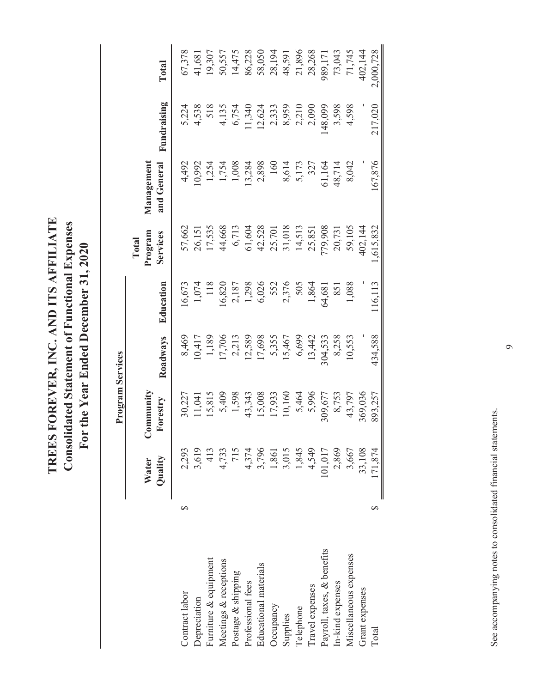TREES FOREVER, INC. AND ITS AFFILIATE **TREES FOREVER, INC. AND ITS AFFILIATE Consolidated Statement of Functional Expenses Consolidated Statement of Functional Expenses** For the Year Ended December 31, 2020 **For the Year Ended December 31, 2020**

|                            |   |                         | Program Services      |                 |                     |                     |                           |                         |           |
|----------------------------|---|-------------------------|-----------------------|-----------------|---------------------|---------------------|---------------------------|-------------------------|-----------|
|                            |   |                         |                       |                 |                     | Total               |                           |                         |           |
|                            |   | Quality<br>Water        | Community<br>Forestry |                 | Education           | Program<br>Services | Management<br>and General | Fundraising             | Total     |
|                            |   |                         |                       | Roadways        |                     |                     |                           |                         |           |
| Contract labor             | ∽ | 2,293                   | 30,227                | 8,469           | 16,673              | 57,662              | 4,492                     | 5,224                   | 67,378    |
| Depreciation               |   | 3,619                   | 11,041                | 10,417          | 1,074               | 26,151              | 10,992                    | 4,538                   | 41,681    |
| Furniture & equipment      |   | 413                     | 15,815                | 1,189           | 118                 | 17,535              | 1,254                     | 518                     | 19,307    |
| Meetings & receptions      |   | 4,733                   | 5,409                 | 17,706          | 16,820              | 44,668              | 1,754                     | 4,135                   | 50,557    |
| Postage & shipping         |   | 715                     | 1,598                 | 2,213           | 2,187               | 6,713               | 1,008                     | 6,754                   | 14,475    |
| Professional fees          |   | 4,374                   | 43,343                | 12,589          | 1,298<br>6,026      | 61,604              | 13,284                    | 11,340                  | 86,228    |
| Educational materials      |   |                         | 15,008                | 17,698          |                     | 42,528              | 2,898                     | 12,624                  | 58,050    |
| Occupancy                  |   | 3,796<br>1,861<br>3,015 | 17,933                |                 | 552<br>2,376<br>505 | 25,701              | 160                       |                         | 28,194    |
| Supplies                   |   |                         | 10,160                | 5,355<br>15,467 |                     | 31,018              |                           | 2,333<br>8,959<br>2,210 | 48,591    |
| Telephone                  |   | 1,845                   | 5,464                 | 6,699           |                     | 14,513              | 8,614<br>5,173            |                         | 21,896    |
| Travel expenses            |   | 4,549                   | 5,996                 | 13,442          | 1,864               | 25,851              | 327                       | 2,090                   | 28,268    |
| Payroll, taxes, & benefits |   | 101,017                 | 309,677               | 304,533         | 64,681              | 779,908             | 61,164                    | 148,099                 | 989,171   |
| In-kind expenses           |   | 2,869                   | 8,753                 | 8,258           | 851                 | 20,731              | 48,714                    | 3,598                   | 73,043    |
| Miscellaneous expenses     |   | 3,667                   | 43,797                | 10,553          | 1,088               | 59,105              | 8,042                     | 4,598                   | 71,745    |
| Grant expenses             |   | 33,108                  | 369,036               |                 |                     | IO2,144             |                           |                         | 402,144   |
| Total                      |   | 171,874                 | 893,257               | 434,588         | 116,113             | 1,615,832           | 167,876                   | 217,020                 | 2,000,728 |

See accompanying notes to consolidated financial statements. See accompanying notes to consolidated financial statements.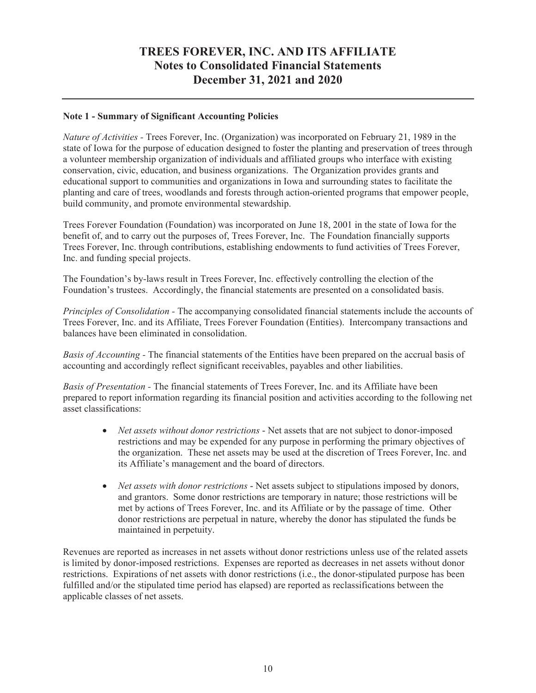#### **Note 1 - Summary of Significant Accounting Policies**

*Nature of Activities -* Trees Forever, Inc. (Organization) was incorporated on February 21, 1989 in the state of Iowa for the purpose of education designed to foster the planting and preservation of trees through a volunteer membership organization of individuals and affiliated groups who interface with existing conservation, civic, education, and business organizations. The Organization provides grants and educational support to communities and organizations in Iowa and surrounding states to facilitate the planting and care of trees, woodlands and forests through action-oriented programs that empower people, build community, and promote environmental stewardship.

Trees Forever Foundation (Foundation) was incorporated on June 18, 2001 in the state of Iowa for the benefit of, and to carry out the purposes of, Trees Forever, Inc. The Foundation financially supports Trees Forever, Inc. through contributions, establishing endowments to fund activities of Trees Forever, Inc. and funding special projects.

The Foundation's by-laws result in Trees Forever, Inc. effectively controlling the election of the Foundation's trustees. Accordingly, the financial statements are presented on a consolidated basis.

*Principles of Consolidation -* The accompanying consolidated financial statements include the accounts of Trees Forever, Inc. and its Affiliate, Trees Forever Foundation (Entities). Intercompany transactions and balances have been eliminated in consolidation.

*Basis of Accounting -* The financial statements of the Entities have been prepared on the accrual basis of accounting and accordingly reflect significant receivables, payables and other liabilities.

*Basis of Presentation -* The financial statements of Trees Forever, Inc. and its Affiliate have been prepared to report information regarding its financial position and activities according to the following net asset classifications:

- *Net assets without donor restrictions* Net assets that are not subject to donor-imposed restrictions and may be expended for any purpose in performing the primary objectives of the organization. These net assets may be used at the discretion of Trees Forever, Inc. and its Affiliate's management and the board of directors.
- *Net assets with donor restrictions* Net assets subject to stipulations imposed by donors, and grantors. Some donor restrictions are temporary in nature; those restrictions will be met by actions of Trees Forever, Inc. and its Affiliate or by the passage of time. Other donor restrictions are perpetual in nature, whereby the donor has stipulated the funds be maintained in perpetuity.

Revenues are reported as increases in net assets without donor restrictions unless use of the related assets is limited by donor-imposed restrictions. Expenses are reported as decreases in net assets without donor restrictions. Expirations of net assets with donor restrictions (i.e., the donor-stipulated purpose has been fulfilled and/or the stipulated time period has elapsed) are reported as reclassifications between the applicable classes of net assets.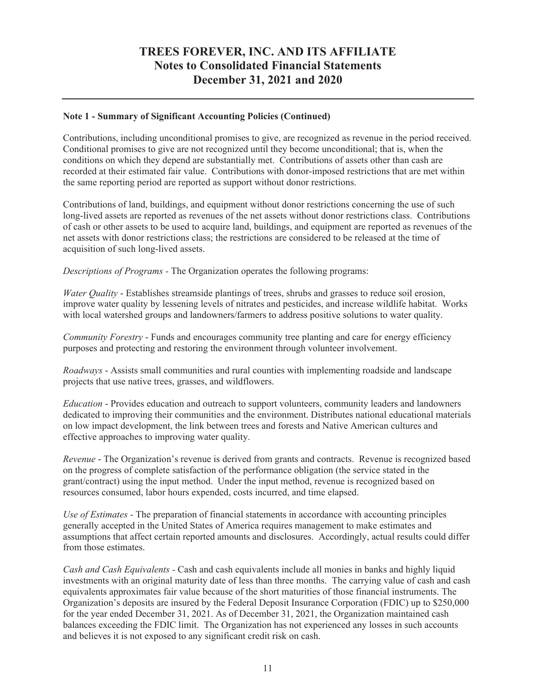#### **Note 1 - Summary of Significant Accounting Policies (Continued)**

Contributions, including unconditional promises to give, are recognized as revenue in the period received. Conditional promises to give are not recognized until they become unconditional; that is, when the conditions on which they depend are substantially met. Contributions of assets other than cash are recorded at their estimated fair value. Contributions with donor-imposed restrictions that are met within the same reporting period are reported as support without donor restrictions.

Contributions of land, buildings, and equipment without donor restrictions concerning the use of such long-lived assets are reported as revenues of the net assets without donor restrictions class. Contributions of cash or other assets to be used to acquire land, buildings, and equipment are reported as revenues of the net assets with donor restrictions class; the restrictions are considered to be released at the time of acquisition of such long-lived assets.

*Descriptions of Programs -* The Organization operates the following programs:

*Water Quality* - Establishes streamside plantings of trees, shrubs and grasses to reduce soil erosion, improve water quality by lessening levels of nitrates and pesticides, and increase wildlife habitat. Works with local watershed groups and landowners/farmers to address positive solutions to water quality.

*Community Forestry* - Funds and encourages community tree planting and care for energy efficiency purposes and protecting and restoring the environment through volunteer involvement.

*Roadways* - Assists small communities and rural counties with implementing roadside and landscape projects that use native trees, grasses, and wildflowers.

*Education* - Provides education and outreach to support volunteers, community leaders and landowners dedicated to improving their communities and the environment. Distributes national educational materials on low impact development, the link between trees and forests and Native American cultures and effective approaches to improving water quality.

*Revenue* - The Organization's revenue is derived from grants and contracts. Revenue is recognized based on the progress of complete satisfaction of the performance obligation (the service stated in the grant/contract) using the input method. Under the input method, revenue is recognized based on resources consumed, labor hours expended, costs incurred, and time elapsed.

*Use of Estimates -* The preparation of financial statements in accordance with accounting principles generally accepted in the United States of America requires management to make estimates and assumptions that affect certain reported amounts and disclosures. Accordingly, actual results could differ from those estimates.

*Cash and Cash Equivalents -* Cash and cash equivalents include all monies in banks and highly liquid investments with an original maturity date of less than three months. The carrying value of cash and cash equivalents approximates fair value because of the short maturities of those financial instruments. The Organization's deposits are insured by the Federal Deposit Insurance Corporation (FDIC) up to \$250,000 for the year ended December 31, 2021. As of December 31, 2021, the Organization maintained cash balances exceeding the FDIC limit. The Organization has not experienced any losses in such accounts and believes it is not exposed to any significant credit risk on cash.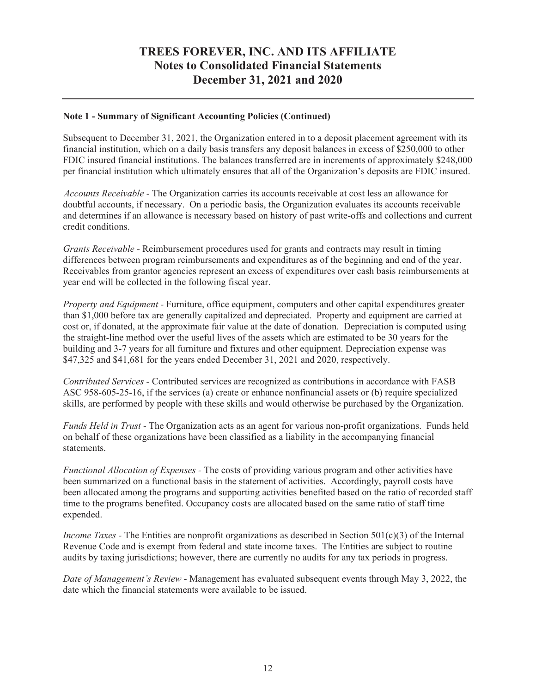#### **Note 1 - Summary of Significant Accounting Policies (Continued)**

Subsequent to December 31, 2021, the Organization entered in to a deposit placement agreement with its financial institution, which on a daily basis transfers any deposit balances in excess of \$250,000 to other FDIC insured financial institutions. The balances transferred are in increments of approximately \$248,000 per financial institution which ultimately ensures that all of the Organization's deposits are FDIC insured.

*Accounts Receivable -* The Organization carries its accounts receivable at cost less an allowance for doubtful accounts, if necessary. On a periodic basis, the Organization evaluates its accounts receivable and determines if an allowance is necessary based on history of past write-offs and collections and current credit conditions.

*Grants Receivable -* Reimbursement procedures used for grants and contracts may result in timing differences between program reimbursements and expenditures as of the beginning and end of the year. Receivables from grantor agencies represent an excess of expenditures over cash basis reimbursements at year end will be collected in the following fiscal year.

*Property and Equipment -* Furniture, office equipment, computers and other capital expenditures greater than \$1,000 before tax are generally capitalized and depreciated. Property and equipment are carried at cost or, if donated, at the approximate fair value at the date of donation. Depreciation is computed using the straight-line method over the useful lives of the assets which are estimated to be 30 years for the building and 3-7 years for all furniture and fixtures and other equipment. Depreciation expense was \$47,325 and \$41,681 for the years ended December 31, 2021 and 2020, respectively.

*Contributed Services -* Contributed services are recognized as contributions in accordance with FASB ASC 958-605-25-16, if the services (a) create or enhance nonfinancial assets or (b) require specialized skills, are performed by people with these skills and would otherwise be purchased by the Organization.

*Funds Held in Trust -* The Organization acts as an agent for various non-profit organizations. Funds held on behalf of these organizations have been classified as a liability in the accompanying financial statements.

*Functional Allocation of Expenses -* The costs of providing various program and other activities have been summarized on a functional basis in the statement of activities. Accordingly, payroll costs have been allocated among the programs and supporting activities benefited based on the ratio of recorded staff time to the programs benefited. Occupancy costs are allocated based on the same ratio of staff time expended.

*Income Taxes -* The Entities are nonprofit organizations as described in Section 501(c)(3) of the Internal Revenue Code and is exempt from federal and state income taxes. The Entities are subject to routine audits by taxing jurisdictions; however, there are currently no audits for any tax periods in progress.

*Date of Management's Review -* Management has evaluated subsequent events through May 3, 2022, the date which the financial statements were available to be issued.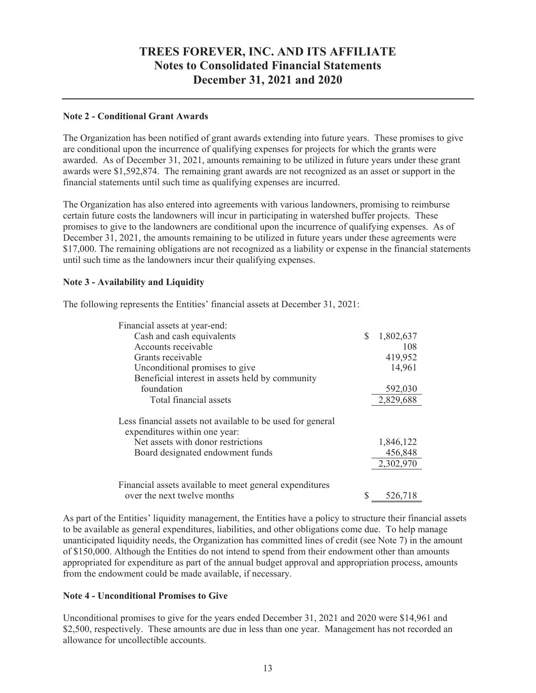#### **Note 2 - Conditional Grant Awards**

The Organization has been notified of grant awards extending into future years. These promises to give are conditional upon the incurrence of qualifying expenses for projects for which the grants were awarded. As of December 31, 2021, amounts remaining to be utilized in future years under these grant awards were \$1,592,874. The remaining grant awards are not recognized as an asset or support in the financial statements until such time as qualifying expenses are incurred.

The Organization has also entered into agreements with various landowners, promising to reimburse certain future costs the landowners will incur in participating in watershed buffer projects. These promises to give to the landowners are conditional upon the incurrence of qualifying expenses. As of December 31, 2021, the amounts remaining to be utilized in future years under these agreements were \$17,000. The remaining obligations are not recognized as a liability or expense in the financial statements until such time as the landowners incur their qualifying expenses.

#### **Note 3 - Availability and Liquidity**

The following represents the Entities' financial assets at December 31, 2021:

| Financial assets at year-end:                                                                                                                                         |   |                                   |
|-----------------------------------------------------------------------------------------------------------------------------------------------------------------------|---|-----------------------------------|
| Cash and cash equivalents                                                                                                                                             | S | 1,802,637                         |
| Accounts receivable                                                                                                                                                   |   | 108                               |
| Grants receivable                                                                                                                                                     |   | 419,952                           |
| Unconditional promises to give                                                                                                                                        |   | 14,961                            |
| Beneficial interest in assets held by community                                                                                                                       |   |                                   |
| foundation                                                                                                                                                            |   | 592,030                           |
| Total financial assets                                                                                                                                                |   | 2,829,688                         |
| Less financial assets not available to be used for general<br>expenditures within one year:<br>Net assets with donor restrictions<br>Board designated endowment funds |   | 1,846,122<br>456,848<br>2,302,970 |
| Financial assets available to meet general expenditures<br>over the next twelve months                                                                                |   | 526,718                           |

As part of the Entities' liquidity management, the Entities have a policy to structure their financial assets to be available as general expenditures, liabilities, and other obligations come due. To help manage unanticipated liquidity needs, the Organization has committed lines of credit (see Note 7) in the amount of \$150,000. Although the Entities do not intend to spend from their endowment other than amounts appropriated for expenditure as part of the annual budget approval and appropriation process, amounts from the endowment could be made available, if necessary.

#### **Note 4 - Unconditional Promises to Give**

Unconditional promises to give for the years ended December 31, 2021 and 2020 were \$14,961 and \$2,500, respectively. These amounts are due in less than one year. Management has not recorded an allowance for uncollectible accounts.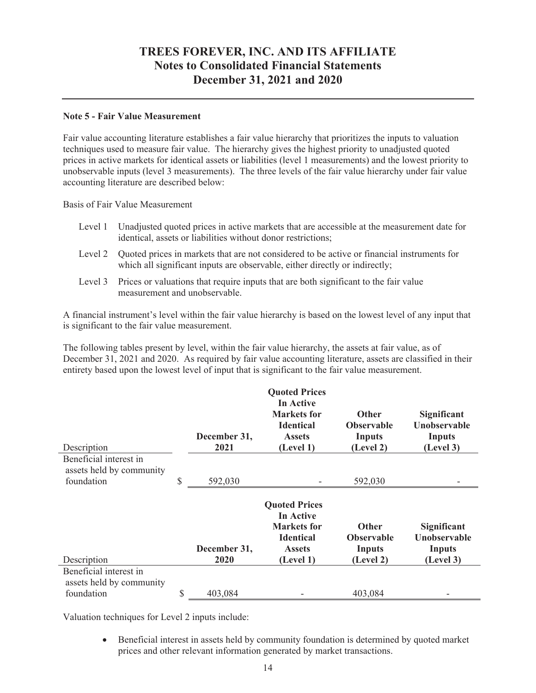#### **Note 5 - Fair Value Measurement**

Fair value accounting literature establishes a fair value hierarchy that prioritizes the inputs to valuation techniques used to measure fair value. The hierarchy gives the highest priority to unadjusted quoted prices in active markets for identical assets or liabilities (level 1 measurements) and the lowest priority to unobservable inputs (level 3 measurements). The three levels of the fair value hierarchy under fair value accounting literature are described below:

Basis of Fair Value Measurement

- Level 1 Unadjusted quoted prices in active markets that are accessible at the measurement date for identical, assets or liabilities without donor restrictions;
- Level 2 Quoted prices in markets that are not considered to be active or financial instruments for which all significant inputs are observable, either directly or indirectly;
- Level 3 Prices or valuations that require inputs that are both significant to the fair value measurement and unobservable.

A financial instrument's level within the fair value hierarchy is based on the lowest level of any input that is significant to the fair value measurement.

The following tables present by level, within the fair value hierarchy, the assets at fair value, as of December 31, 2021 and 2020. As required by fair value accounting literature, assets are classified in their entirety based upon the lowest level of input that is significant to the fair value measurement.

| Description                                                      | December 31,<br>2021 | <b>Quoted Prices</b><br>In Active<br><b>Markets</b> for<br><b>Identical</b><br><b>Assets</b><br>(Level 1) | <b>Other</b><br><b>Observable</b><br><b>Inputs</b><br>(Level 2) | Significant<br><b>Unobservable</b><br><b>Inputs</b><br>(Level 3) |
|------------------------------------------------------------------|----------------------|-----------------------------------------------------------------------------------------------------------|-----------------------------------------------------------------|------------------------------------------------------------------|
| Beneficial interest in<br>assets held by community<br>foundation | \$<br>592,030        |                                                                                                           | 592,030                                                         |                                                                  |
| Description                                                      | December 31,<br>2020 | <b>Quoted Prices</b><br>In Active<br><b>Markets</b> for<br><b>Identical</b><br><b>Assets</b><br>(Level 1) | <b>Other</b><br><b>Observable</b><br>Inputs<br>(Level 2)        | Significant<br><b>Unobservable</b><br>Inputs<br>(Level 3)        |
| Beneficial interest in                                           |                      |                                                                                                           |                                                                 |                                                                  |
| assets held by community                                         |                      |                                                                                                           |                                                                 |                                                                  |
| foundation                                                       | \$<br>403,084        |                                                                                                           | 403,084                                                         |                                                                  |

Valuation techniques for Level 2 inputs include:

• Beneficial interest in assets held by community foundation is determined by quoted market prices and other relevant information generated by market transactions.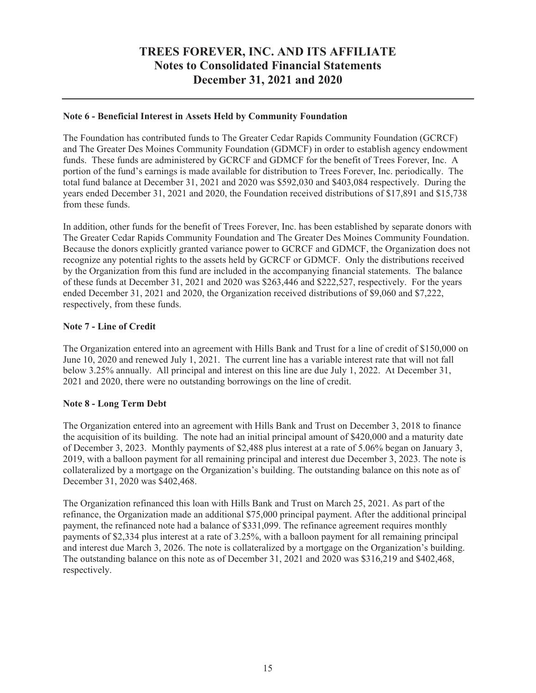#### **Note 6 - Beneficial Interest in Assets Held by Community Foundation**

The Foundation has contributed funds to The Greater Cedar Rapids Community Foundation (GCRCF) and The Greater Des Moines Community Foundation (GDMCF) in order to establish agency endowment funds. These funds are administered by GCRCF and GDMCF for the benefit of Trees Forever, Inc. A portion of the fund's earnings is made available for distribution to Trees Forever, Inc. periodically. The total fund balance at December 31, 2021 and 2020 was \$592,030 and \$403,084 respectively. During the years ended December 31, 2021 and 2020, the Foundation received distributions of \$17,891 and \$15,738 from these funds.

In addition, other funds for the benefit of Trees Forever, Inc. has been established by separate donors with The Greater Cedar Rapids Community Foundation and The Greater Des Moines Community Foundation. Because the donors explicitly granted variance power to GCRCF and GDMCF, the Organization does not recognize any potential rights to the assets held by GCRCF or GDMCF. Only the distributions received by the Organization from this fund are included in the accompanying financial statements. The balance of these funds at December 31, 2021 and 2020 was \$263,446 and \$222,527, respectively. For the years ended December 31, 2021 and 2020, the Organization received distributions of \$9,060 and \$7,222, respectively, from these funds.

#### **Note 7 - Line of Credit**

The Organization entered into an agreement with Hills Bank and Trust for a line of credit of \$150,000 on June 10, 2020 and renewed July 1, 2021. The current line has a variable interest rate that will not fall below 3.25% annually. All principal and interest on this line are due July 1, 2022. At December 31, 2021 and 2020, there were no outstanding borrowings on the line of credit.

#### **Note 8 - Long Term Debt**

The Organization entered into an agreement with Hills Bank and Trust on December 3, 2018 to finance the acquisition of its building. The note had an initial principal amount of \$420,000 and a maturity date of December 3, 2023. Monthly payments of \$2,488 plus interest at a rate of 5.06% began on January 3, 2019, with a balloon payment for all remaining principal and interest due December 3, 2023. The note is collateralized by a mortgage on the Organization's building. The outstanding balance on this note as of December 31, 2020 was \$402,468.

The Organization refinanced this loan with Hills Bank and Trust on March 25, 2021. As part of the refinance, the Organization made an additional \$75,000 principal payment. After the additional principal payment, the refinanced note had a balance of \$331,099. The refinance agreement requires monthly payments of \$2,334 plus interest at a rate of 3.25%, with a balloon payment for all remaining principal and interest due March 3, 2026. The note is collateralized by a mortgage on the Organization's building. The outstanding balance on this note as of December 31, 2021 and 2020 was \$316,219 and \$402,468, respectively.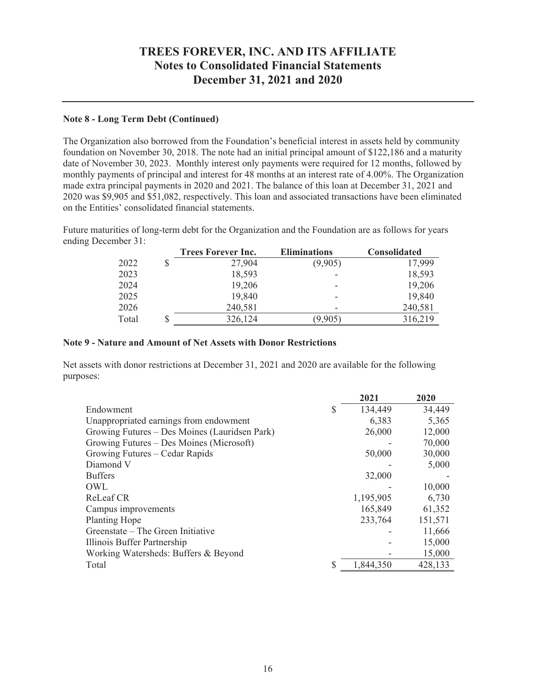#### **Note 8 - Long Term Debt (Continued)**

The Organization also borrowed from the Foundation's beneficial interest in assets held by community foundation on November 30, 2018. The note had an initial principal amount of \$122,186 and a maturity date of November 30, 2023. Monthly interest only payments were required for 12 months, followed by monthly payments of principal and interest for 48 months at an interest rate of 4.00%. The Organization made extra principal payments in 2020 and 2021. The balance of this loan at December 31, 2021 and 2020 was \$9,905 and \$51,082, respectively. This loan and associated transactions have been eliminated on the Entities' consolidated financial statements.

Future maturities of long-term debt for the Organization and the Foundation are as follows for years ending December 31:

|       |   | <b>Trees Forever Inc.</b> | <b>Eliminations</b> | <b>Consolidated</b> |
|-------|---|---------------------------|---------------------|---------------------|
| 2022  |   | 27,904                    | (9,905)             | 17,999              |
| 2023  |   | 18,593                    |                     | 18,593              |
| 2024  |   | 19,206                    |                     | 19,206              |
| 2025  |   | 19,840                    |                     | 19,840              |
| 2026  |   | 240,581                   | -                   | 240,581             |
| Total | J | 326,124                   | (9,905)             | 316,219             |

#### **Note 9 - Nature and Amount of Net Assets with Donor Restrictions**

Net assets with donor restrictions at December 31, 2021 and 2020 are available for the following purposes:

|                                               |               | 2021      | 2020    |
|-----------------------------------------------|---------------|-----------|---------|
| Endowment                                     | <sup>\$</sup> | 134,449   | 34,449  |
| Unappropriated earnings from endowment        |               | 6,383     | 5,365   |
| Growing Futures - Des Moines (Lauridsen Park) |               | 26,000    | 12,000  |
| Growing Futures - Des Moines (Microsoft)      |               |           | 70,000  |
| Growing Futures – Cedar Rapids                |               | 50,000    | 30,000  |
| Diamond V                                     |               |           | 5,000   |
| <b>Buffers</b>                                |               | 32,000    |         |
| OWL                                           |               |           | 10,000  |
| ReLeaf CR                                     |               | 1,195,905 | 6,730   |
| Campus improvements                           |               | 165,849   | 61,352  |
| <b>Planting Hope</b>                          |               | 233,764   | 151,571 |
| Greenstate – The Green Initiative             |               |           | 11,666  |
| Illinois Buffer Partnership                   |               |           | 15,000  |
| Working Watersheds: Buffers & Beyond          |               |           | 15,000  |
| Total                                         | S             | 1,844,350 | 428,133 |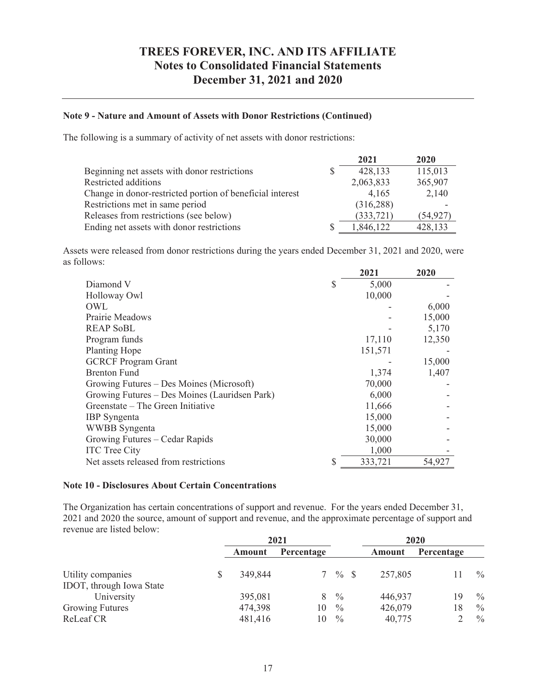#### **Note 9 - Nature and Amount of Assets with Donor Restrictions (Continued)**

The following is a summary of activity of net assets with donor restrictions:

|                                                           |    | 2021       | 2020      |
|-----------------------------------------------------------|----|------------|-----------|
| Beginning net assets with donor restrictions              | S. | 428,133    | 115,013   |
| Restricted additions                                      |    | 2,063,833  | 365,907   |
| Change in donor-restricted portion of beneficial interest |    | 4,165      | 2,140     |
| Restrictions met in same period                           |    | (316, 288) |           |
| Releases from restrictions (see below)                    |    | (333, 721) | (54, 927) |
| Ending net assets with donor restrictions                 |    | 1,846,122  | 428,133   |

Assets were released from donor restrictions during the years ended December 31, 2021 and 2020, were as follows:

|                                               | 2021          | 2020   |
|-----------------------------------------------|---------------|--------|
| Diamond V                                     | \$<br>5,000   |        |
| Holloway Owl                                  | 10,000        |        |
| OWL                                           |               | 6,000  |
| Prairie Meadows                               |               | 15,000 |
| <b>REAP SoBL</b>                              |               | 5,170  |
| Program funds                                 | 17,110        | 12,350 |
| <b>Planting Hope</b>                          | 151,571       |        |
| <b>GCRCF Program Grant</b>                    |               | 15,000 |
| <b>Brenton Fund</b>                           | 1,374         | 1,407  |
| Growing Futures – Des Moines (Microsoft)      | 70,000        |        |
| Growing Futures – Des Moines (Lauridsen Park) | 6,000         |        |
| Greenstate – The Green Initiative             | 11,666        |        |
| <b>IBP</b> Syngenta                           | 15,000        |        |
| <b>WWBB</b> Syngenta                          | 15,000        |        |
| Growing Futures – Cedar Rapids                | 30,000        |        |
| <b>ITC</b> Tree City                          | 1,000         |        |
| Net assets released from restrictions         | \$<br>333,721 | 54,927 |

#### **Note 10 - Disclosures About Certain Concentrations**

The Organization has certain concentrations of support and revenue. For the years ended December 31, 2021 and 2020 the source, amount of support and revenue, and the approximate percentage of support and revenue are listed below:

|                                               |         | 2021       |               |         | 2020       |               |
|-----------------------------------------------|---------|------------|---------------|---------|------------|---------------|
|                                               | Amount  | Percentage |               | Amount  | Percentage |               |
| Utility companies<br>IDOT, through Iowa State | 349,844 |            | $7\%$ S       | 257,805 |            | $\frac{0}{0}$ |
| University                                    | 395,081 | 8          | $\frac{0}{0}$ | 446,937 | 19         | $\frac{0}{0}$ |
| Growing Futures                               | 474,398 | 10         | $\frac{0}{0}$ | 426,079 | 18         | $\frac{0}{0}$ |
| ReLeaf CR                                     | 481,416 | 10         | $\frac{0}{0}$ | 40,775  |            | $\frac{0}{0}$ |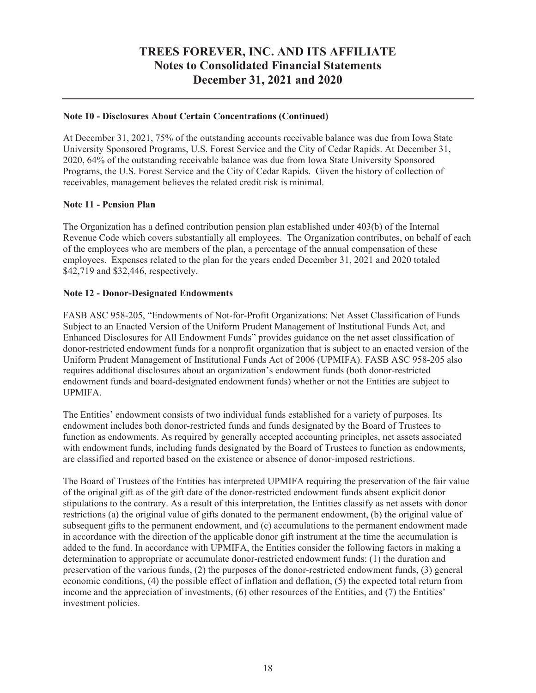#### **Note 10 - Disclosures About Certain Concentrations (Continued)**

At December 31, 2021, 75% of the outstanding accounts receivable balance was due from Iowa State University Sponsored Programs, U.S. Forest Service and the City of Cedar Rapids. At December 31, 2020, 64% of the outstanding receivable balance was due from Iowa State University Sponsored Programs, the U.S. Forest Service and the City of Cedar Rapids. Given the history of collection of receivables, management believes the related credit risk is minimal.

#### **Note 11 - Pension Plan**

The Organization has a defined contribution pension plan established under 403(b) of the Internal Revenue Code which covers substantially all employees. The Organization contributes, on behalf of each of the employees who are members of the plan, a percentage of the annual compensation of these employees. Expenses related to the plan for the years ended December 31, 2021 and 2020 totaled \$42,719 and \$32,446, respectively.

#### **Note 12 - Donor-Designated Endowments**

FASB ASC 958-205, "Endowments of Not-for-Profit Organizations: Net Asset Classification of Funds Subject to an Enacted Version of the Uniform Prudent Management of Institutional Funds Act, and Enhanced Disclosures for All Endowment Funds" provides guidance on the net asset classification of donor-restricted endowment funds for a nonprofit organization that is subject to an enacted version of the Uniform Prudent Management of Institutional Funds Act of 2006 (UPMIFA). FASB ASC 958-205 also requires additional disclosures about an organization's endowment funds (both donor-restricted endowment funds and board-designated endowment funds) whether or not the Entities are subject to UPMIFA.

The Entities' endowment consists of two individual funds established for a variety of purposes. Its endowment includes both donor-restricted funds and funds designated by the Board of Trustees to function as endowments. As required by generally accepted accounting principles, net assets associated with endowment funds, including funds designated by the Board of Trustees to function as endowments, are classified and reported based on the existence or absence of donor-imposed restrictions.

The Board of Trustees of the Entities has interpreted UPMIFA requiring the preservation of the fair value of the original gift as of the gift date of the donor-restricted endowment funds absent explicit donor stipulations to the contrary. As a result of this interpretation, the Entities classify as net assets with donor restrictions (a) the original value of gifts donated to the permanent endowment, (b) the original value of subsequent gifts to the permanent endowment, and (c) accumulations to the permanent endowment made in accordance with the direction of the applicable donor gift instrument at the time the accumulation is added to the fund. In accordance with UPMIFA, the Entities consider the following factors in making a determination to appropriate or accumulate donor-restricted endowment funds: (1) the duration and preservation of the various funds, (2) the purposes of the donor-restricted endowment funds, (3) general economic conditions, (4) the possible effect of inflation and deflation, (5) the expected total return from income and the appreciation of investments, (6) other resources of the Entities, and (7) the Entities' investment policies.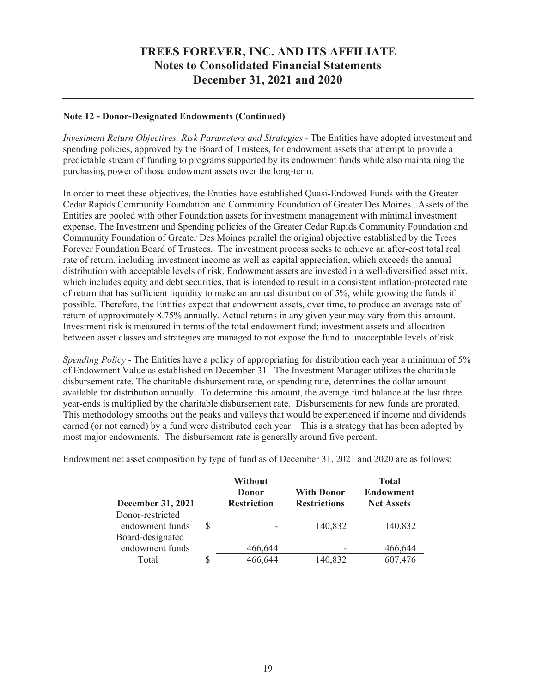#### **Note 12 - Donor-Designated Endowments (Continued)**

*Investment Return Objectives, Risk Parameters and Strategies* - The Entities have adopted investment and spending policies, approved by the Board of Trustees, for endowment assets that attempt to provide a predictable stream of funding to programs supported by its endowment funds while also maintaining the purchasing power of those endowment assets over the long-term.

In order to meet these objectives, the Entities have established Quasi-Endowed Funds with the Greater Cedar Rapids Community Foundation and Community Foundation of Greater Des Moines.. Assets of the Entities are pooled with other Foundation assets for investment management with minimal investment expense. The Investment and Spending policies of the Greater Cedar Rapids Community Foundation and Community Foundation of Greater Des Moines parallel the original objective established by the Trees Forever Foundation Board of Trustees. The investment process seeks to achieve an after-cost total real rate of return, including investment income as well as capital appreciation, which exceeds the annual distribution with acceptable levels of risk. Endowment assets are invested in a well-diversified asset mix, which includes equity and debt securities, that is intended to result in a consistent inflation-protected rate of return that has sufficient liquidity to make an annual distribution of 5%, while growing the funds if possible. Therefore, the Entities expect that endowment assets, over time, to produce an average rate of return of approximately 8.75% annually. Actual returns in any given year may vary from this amount. Investment risk is measured in terms of the total endowment fund; investment assets and allocation between asset classes and strategies are managed to not expose the fund to unacceptable levels of risk.

*Spending Policy* - The Entities have a policy of appropriating for distribution each year a minimum of 5% of Endowment Value as established on December 31. The Investment Manager utilizes the charitable disbursement rate. The charitable disbursement rate, or spending rate, determines the dollar amount available for distribution annually. To determine this amount, the average fund balance at the last three year-ends is multiplied by the charitable disbursement rate. Disbursements for new funds are prorated. This methodology smooths out the peaks and valleys that would be experienced if income and dividends earned (or not earned) by a fund were distributed each year. This is a strategy that has been adopted by most major endowments. The disbursement rate is generally around five percent.

|                          | Without            |                     | <b>Total</b>      |
|--------------------------|--------------------|---------------------|-------------------|
|                          | Donor              | <b>With Donor</b>   | <b>Endowment</b>  |
| <b>December 31, 2021</b> | <b>Restriction</b> | <b>Restrictions</b> | <b>Net Assets</b> |
| Donor-restricted         |                    |                     |                   |
| endowment funds          |                    | 140,832             | 140,832           |
| Board-designated         |                    |                     |                   |
| endowment funds          | 466,644            |                     | 466,644           |
| Total                    | 466,644            | 140,832             | 607,476           |

Endowment net asset composition by type of fund as of December 31, 2021 and 2020 are as follows: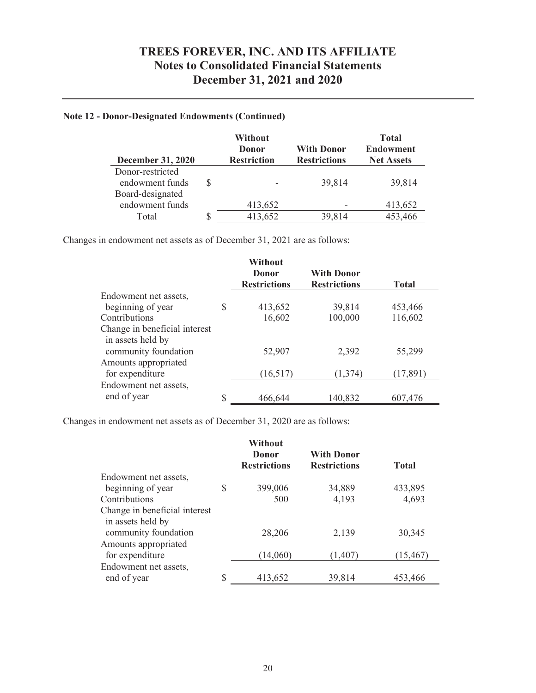### **Note 12 - Donor-Designated Endowments (Continued)**

| December 31, 2020                            | <b>Without</b><br>Donor<br><b>Restriction</b> | <b>With Donor</b><br><b>Restrictions</b> | <b>Total</b><br><b>Endowment</b><br><b>Net Assets</b> |
|----------------------------------------------|-----------------------------------------------|------------------------------------------|-------------------------------------------------------|
| Donor-restricted<br>endowment funds          |                                               | 39,814                                   | 39,814                                                |
| Board-designated<br>endowment funds<br>Total | 413,652<br>413,652                            | 39,814                                   | 413,652<br>453,466                                    |

Changes in endowment net assets as of December 31, 2021 are as follows:

|                               | Without<br>Donor<br><b>Restrictions</b> | <b>With Donor</b><br><b>Restrictions</b> | <b>Total</b> |
|-------------------------------|-----------------------------------------|------------------------------------------|--------------|
| Endowment net assets,         |                                         |                                          |              |
| beginning of year             | \$<br>413,652                           | 39,814                                   | 453,466      |
| Contributions                 | 16,602                                  | 100,000                                  | 116,602      |
| Change in beneficial interest |                                         |                                          |              |
| in assets held by             |                                         |                                          |              |
| community foundation          | 52,907                                  | 2,392                                    | 55,299       |
| Amounts appropriated          |                                         |                                          |              |
| for expenditure               | (16,517)                                | (1,374)                                  | (17, 891)    |
| Endowment net assets,         |                                         |                                          |              |
| end of year                   | \$<br>466,644                           | 140,832                                  | 607,476      |

Changes in endowment net assets as of December 31, 2020 are as follows:

|                               |    | Without<br>Donor<br><b>Restrictions</b> | <b>With Donor</b><br><b>Restrictions</b> | <b>Total</b> |
|-------------------------------|----|-----------------------------------------|------------------------------------------|--------------|
| Endowment net assets,         |    |                                         |                                          |              |
| beginning of year             | S  | 399,006                                 | 34,889                                   | 433,895      |
| Contributions                 |    | 500                                     | 4,193                                    | 4,693        |
| Change in beneficial interest |    |                                         |                                          |              |
| in assets held by             |    |                                         |                                          |              |
| community foundation          |    | 28,206                                  | 2,139                                    | 30,345       |
| Amounts appropriated          |    |                                         |                                          |              |
| for expenditure               |    | (14,060)                                | (1,407)                                  | (15, 467)    |
| Endowment net assets,         |    |                                         |                                          |              |
| end of year                   | \$ | 413,652                                 | 39,814                                   | 453,466      |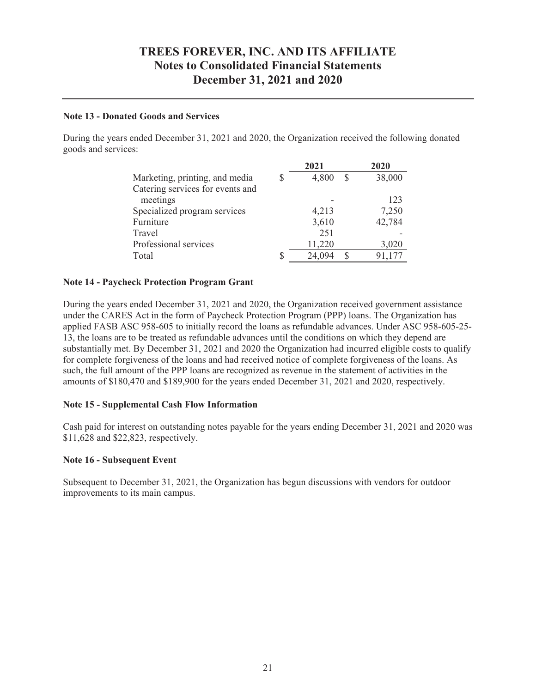#### **Note 13 - Donated Goods and Services**

During the years ended December 31, 2021 and 2020, the Organization received the following donated goods and services:

|                                  |   | 2021        | 2020   |
|----------------------------------|---|-------------|--------|
| Marketing, printing, and media   |   | 4,800<br>-S | 38,000 |
| Catering services for events and |   |             |        |
| meetings                         |   |             | 123    |
| Specialized program services     |   | 4,213       | 7,250  |
| Furniture                        |   | 3,610       | 42,784 |
| Travel                           |   | 251         |        |
| Professional services            |   | 11,220      | 3,020  |
| Total                            | S | 24,094<br>S | 91,177 |

#### **Note 14 - Paycheck Protection Program Grant**

During the years ended December 31, 2021 and 2020, the Organization received government assistance under the CARES Act in the form of Paycheck Protection Program (PPP) loans. The Organization has applied FASB ASC 958-605 to initially record the loans as refundable advances. Under ASC 958-605-25- 13, the loans are to be treated as refundable advances until the conditions on which they depend are substantially met. By December 31, 2021 and 2020 the Organization had incurred eligible costs to qualify for complete forgiveness of the loans and had received notice of complete forgiveness of the loans. As such, the full amount of the PPP loans are recognized as revenue in the statement of activities in the amounts of \$180,470 and \$189,900 for the years ended December 31, 2021 and 2020, respectively.

#### **Note 15 - Supplemental Cash Flow Information**

Cash paid for interest on outstanding notes payable for the years ending December 31, 2021 and 2020 was \$11,628 and \$22,823, respectively.

#### **Note 16 - Subsequent Event**

Subsequent to December 31, 2021, the Organization has begun discussions with vendors for outdoor improvements to its main campus.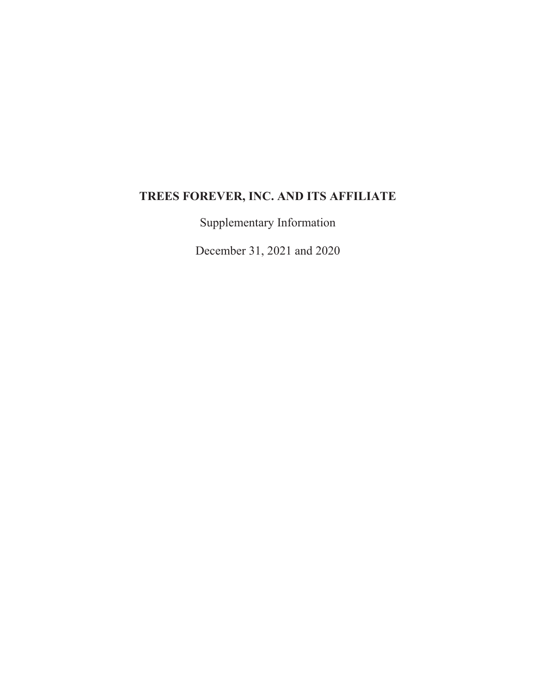# **TREES FOREVER, INC. AND ITS AFFILIATE**

Supplementary Information

December 31, 2021 and 2020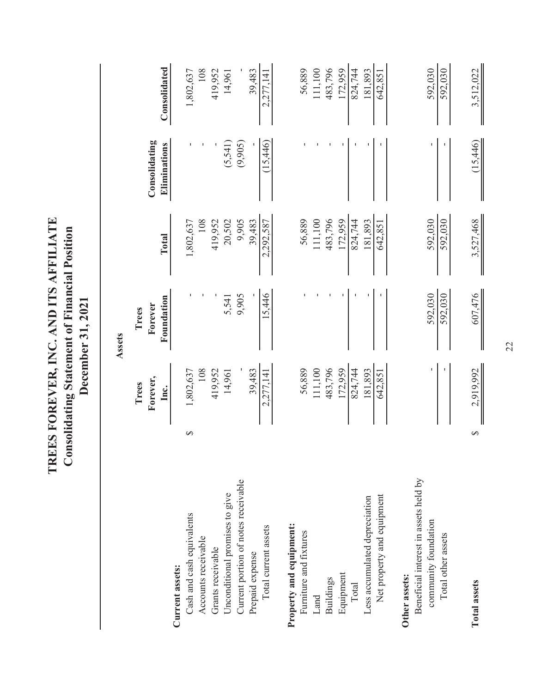|                                            |          |                           | Assets                         |                    |                               |                    |
|--------------------------------------------|----------|---------------------------|--------------------------------|--------------------|-------------------------------|--------------------|
|                                            |          | Forever,<br>Trees<br>Inc. | Foundation<br>Forever<br>Trees | Total              | Consolidating<br>Eliminations | Consolidated       |
| Current assets:                            |          |                           |                                |                    |                               |                    |
| Cash and cash equivalents                  | ∽        | 1,802,637                 |                                | 1,802,637          |                               | 1,802,637          |
| Accounts receivable                        |          | 108                       |                                | 108                |                               | 108                |
| Grants receivable                          |          | 419,952                   |                                | 419,952            |                               | 419,952            |
| Unconditional promises to give             |          | 14,961                    | 5,541                          | 20,502             | (5, 541)                      | 14,961             |
| Current portion of notes receivable        |          |                           | 9,905                          | 9,905              | (9,905)                       |                    |
| Prepaid expense                            |          | 39,483                    |                                | 39,483             |                               | 39,483             |
| Total current assets                       |          | 2,277,141                 | 15,446                         | 2,292,587          | (15, 446)                     | 2,277,141          |
| Property and equipment:                    |          |                           |                                |                    |                               |                    |
| Furniture and fixtures                     |          | 56,889                    |                                | 56,889             |                               | 56,889             |
| Land                                       |          | 111,100                   |                                | 111,100            |                               | 111,100            |
| <b>Buildings</b>                           |          | 483,796                   |                                | 483,796            |                               | 483,796            |
| Equipment                                  |          | 172,959                   |                                | 172,959            |                               | 172,959            |
| Total                                      |          | 824,744                   |                                | 824,744            |                               | 824,744            |
| Less accumulated depreciation              |          | 181,893                   |                                | 181,893            |                               | 181.893            |
| Net property and equipment                 |          | 642,851                   |                                | 642,851            |                               | 642,851            |
| Other assets:                              |          |                           |                                |                    |                               |                    |
| Beneficial interest in assets held by      |          |                           |                                |                    |                               |                    |
| community foundation<br>Total other assets |          |                           | 592,030<br>592,030             | 592,030<br>592,030 |                               | 592,030<br>592,030 |
|                                            |          |                           |                                |                    |                               |                    |
| <b>Total assets</b>                        | $\Theta$ | 2,919,992                 | 607,476                        | 3,527,468          | (15,446)                      | 3,512,022          |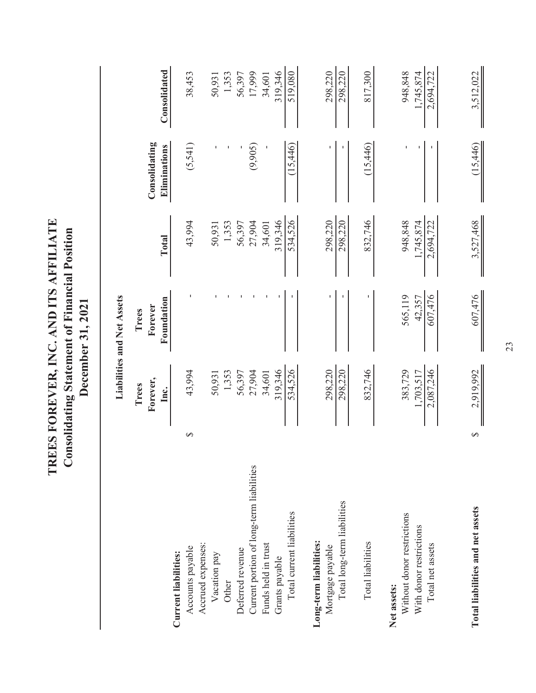|                                                       |   |                      | Liabilities and Net Assets |                      |                               |                      |
|-------------------------------------------------------|---|----------------------|----------------------------|----------------------|-------------------------------|----------------------|
|                                                       |   | Trees                | Trees                      |                      |                               |                      |
|                                                       |   | Forever,<br>Inc.     | Foundation<br>Forever      | Total                | Consolidating<br>Eliminations | Consolidated         |
| Current liabilities:                                  |   |                      |                            |                      |                               |                      |
| Accounts payable                                      | ↔ | 43,994               |                            | 43,994               | (5,541)                       | 38,453               |
| Accrued expenses:                                     |   |                      |                            |                      |                               |                      |
| Vacation pay                                          |   | 50,931               |                            | 50,931               |                               | 50,931               |
| Other                                                 |   | 1,353                |                            | 1,353                |                               | 1,353                |
| Deferred revenue                                      |   | 56,397               |                            | 56,397               |                               | 56,397               |
| Current portion of long-term liabilities              |   | 27,904               |                            | 27,904               | (9,905)                       | 17,999               |
| Funds held in trust                                   |   | 34,601               |                            | 34,601               |                               | 34,601               |
| Grants payable                                        |   | 319,346              |                            | 319,346              |                               | 319,346              |
| Total current liabilities                             |   | 534,526              |                            | 534,526              | (15,446)                      | 519,080              |
| Long-term liabilities:                                |   |                      |                            |                      |                               |                      |
| Mortgage payable                                      |   | 298,220              |                            | 298,220              |                               | 298,220              |
| Total long-term liabilities                           |   | 298,220              |                            | 298,220              |                               | 298,220              |
| Total liabilities                                     |   | 832,746              |                            | 832,746              | (15,446)                      | 817,300              |
| Net assets:                                           |   |                      |                            |                      |                               |                      |
| Without donor restrictions<br>With donor restrictions |   | 383,729<br>1,703,517 | 565,119<br>42,357          | 948,848<br>1,745,874 |                               | 1.745.874<br>948,848 |
| Total net assets                                      |   | 2,087,246            | 607,476                    | 2,694,722            |                               | 2,694,722            |
|                                                       |   |                      |                            |                      |                               |                      |
| Total liabilities and net assets                      | ∽ | 2,919,992            | 607,476                    | 3,527,468            | (15,446)                      | 3,512,022            |

TREES FOREVER, INC. AND ITS AFFILIATE **TREES FOREVER, INC. AND ITS AFFILIATE Consolidating Statement of Financial Position**<br>December 31, 2021 **Consolidating Statement of Financial Position December 31, 2021**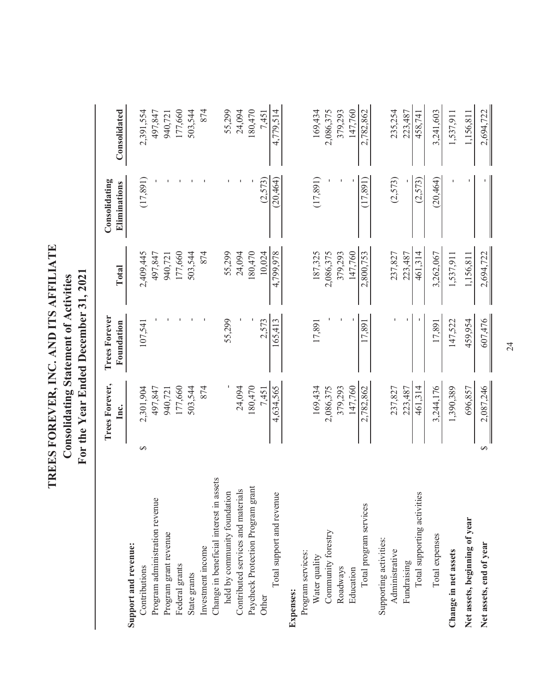| TREES FOREVER, INC. AND ITS AFFILIATE<br><b>Consolidating Statement of Activities</b> | For the Year Ended December 31, 2021 |
|---------------------------------------------------------------------------------------|--------------------------------------|
|---------------------------------------------------------------------------------------|--------------------------------------|

|                                         |               | Trees Forever,<br>Inc. | <b>Trees Forever</b><br>Foundation | Total     | Consolidating<br>Eliminations | Consolidated |
|-----------------------------------------|---------------|------------------------|------------------------------------|-----------|-------------------------------|--------------|
| Support and revenue:                    |               |                        |                                    |           |                               |              |
| Contributions                           | $\rightarrow$ | 2,301,904              | 107,541                            | 2,409,445 | (17, 891)                     | 2,391,554    |
| Program administration revenue          |               | 497,847                |                                    | 497,847   |                               | 497,847      |
| Program grant revenue                   |               | 940,721                |                                    | 940,721   |                               | 940,721      |
| Federal grants                          |               | 177,660                |                                    | 177,660   |                               | 177,660      |
| State grants                            |               | 503,544                |                                    | 503,544   |                               | 503,544      |
| Investment income                       |               | 874                    |                                    | 874       |                               | 874          |
| Change in beneficial interest in assets |               |                        |                                    |           |                               |              |
| held by community foundation            |               |                        | 55,299                             | 55,299    |                               | 55,299       |
| Contributed services and materials      |               | 24,094                 |                                    | 24,094    |                               | 24,094       |
| Paycheck Protection Program grant       |               | 180,470                |                                    | 180,470   |                               | 180,470      |
| Other                                   |               | 7,451                  | 2,573                              | 10,024    | (2,573)                       | 7,451        |
| Total support and revenue               |               | 4,634,565              | 165,413                            | 4,799,978 | (20, 464)                     | 4,779,514    |
| <b>Expenses:</b>                        |               |                        |                                    |           |                               |              |
| Program services:                       |               |                        |                                    |           |                               |              |
| Water quality                           |               | 169,434                | 17,891                             | 187,325   | (17, 891)                     | 169,434      |
| Community forestry                      |               | 2,086,375              |                                    | 2,086,375 |                               | 2,086,375    |
| Roadways                                |               | 379,293                |                                    | 379,293   |                               | 379,293      |
| Education                               |               | 147,760                |                                    | 147,760   |                               | 147,760      |
| Total program services                  |               | 2,782,862              | 17,891                             | 2,800,753 | (17, 891)                     | 2,782,862    |
| Supporting activities:                  |               |                        |                                    |           |                               |              |
| Administrative                          |               | 237,827                |                                    | 237,827   | (2,573)                       | 235,254      |
| Fundraising                             |               | 223,487                |                                    | 223,487   |                               | 223,487      |
| Total supporting activities             |               | 461,314                |                                    | 461,314   | (2,573)                       | 458,741      |
| Total expenses                          |               | 3,244,176              | 17,891                             | 3,262,067 | (20, 464)                     | 3,241,603    |
| Change in net assets                    |               | 1,390,389              | 147,522                            | 1,537,911 |                               | 1,537,911    |
| Net assets, beginning of year           |               | 696,857                | 459,954                            | 1,156,811 |                               | 1,156,811    |
| Net assets, end of year                 | $\Theta$      | 2,087,246              | 607,476                            | 2,694,722 |                               | 2,694,722    |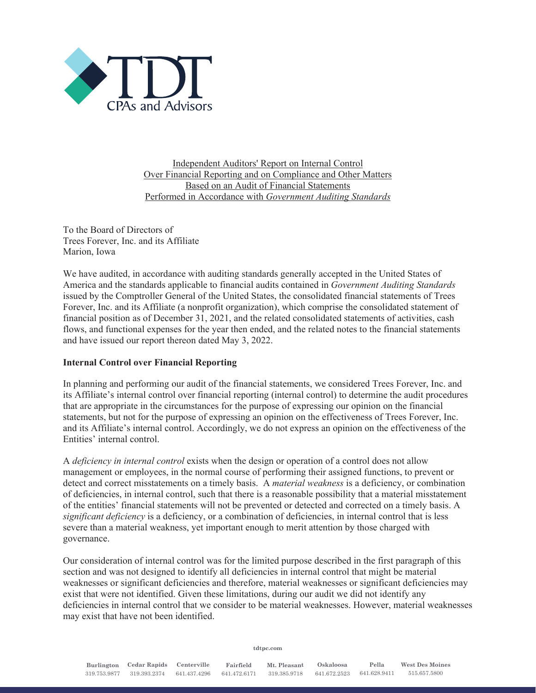

Independent Auditors' Report on Internal Control Over Financial Reporting and on Compliance and Other Matters Based on an Audit of Financial Statements Performed in Accordance with *Government Auditing Standards*

To the Board of Directors of Trees Forever, Inc. and its Affiliate Marion, Iowa

We have audited, in accordance with auditing standards generally accepted in the United States of America and the standards applicable to financial audits contained in *Government Auditing Standards* issued by the Comptroller General of the United States, the consolidated financial statements of Trees Forever, Inc. and its Affiliate (a nonprofit organization), which comprise the consolidated statement of financial position as of December 31, 2021, and the related consolidated statements of activities, cash flows, and functional expenses for the year then ended, and the related notes to the financial statements and have issued our report thereon dated May 3, 2022.

#### **Internal Control over Financial Reporting**

In planning and performing our audit of the financial statements, we considered Trees Forever, Inc. and its Affiliate's internal control over financial reporting (internal control) to determine the audit procedures that are appropriate in the circumstances for the purpose of expressing our opinion on the financial statements, but not for the purpose of expressing an opinion on the effectiveness of Trees Forever, Inc. and its Affiliate's internal control. Accordingly, we do not express an opinion on the effectiveness of the Entities' internal control.

A *deficiency in internal control* exists when the design or operation of a control does not allow management or employees, in the normal course of performing their assigned functions, to prevent or detect and correct misstatements on a timely basis. A *material weakness* is a deficiency, or combination of deficiencies, in internal control, such that there is a reasonable possibility that a material misstatement of the entities' financial statements will not be prevented or detected and corrected on a timely basis. A *significant deficiency* is a deficiency, or a combination of deficiencies, in internal control that is less severe than a material weakness, yet important enough to merit attention by those charged with governance.

Our consideration of internal control was for the limited purpose described in the first paragraph of this section and was not designed to identify all deficiencies in internal control that might be material weaknesses or significant deficiencies and therefore, material weaknesses or significant deficiencies may exist that were not identified. Given these limitations, during our audit we did not identify any deficiencies in internal control that we consider to be material weaknesses. However, material weaknesses may exist that have not been identified.

**tdtpc.com**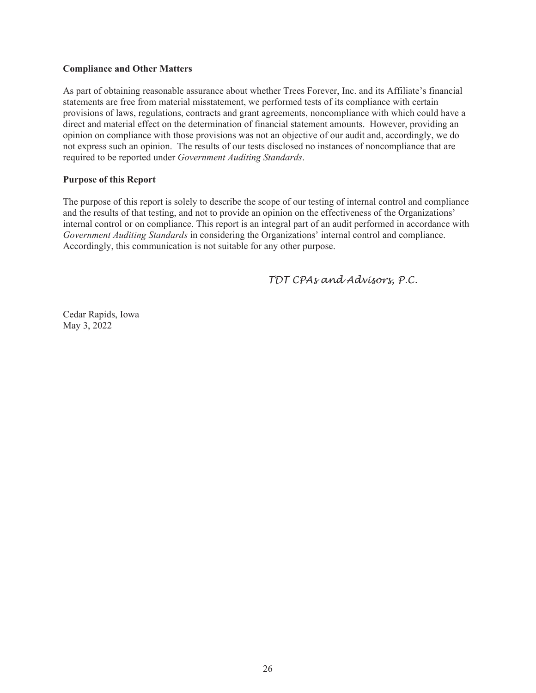#### **Compliance and Other Matters**

As part of obtaining reasonable assurance about whether Trees Forever, Inc. and its Affiliate's financial statements are free from material misstatement, we performed tests of its compliance with certain provisions of laws, regulations, contracts and grant agreements, noncompliance with which could have a direct and material effect on the determination of financial statement amounts. However, providing an opinion on compliance with those provisions was not an objective of our audit and, accordingly, we do not express such an opinion. The results of our tests disclosed no instances of noncompliance that are required to be reported under *Government Auditing Standards*.

#### **Purpose of this Report**

The purpose of this report is solely to describe the scope of our testing of internal control and compliance and the results of that testing, and not to provide an opinion on the effectiveness of the Organizations' internal control or on compliance. This report is an integral part of an audit performed in accordance with *Government Auditing Standards* in considering the Organizations' internal control and compliance. Accordingly, this communication is not suitable for any other purpose.

 *TDT CPAs and Advisors, P.C.* 

Cedar Rapids, Iowa May 3, 2022